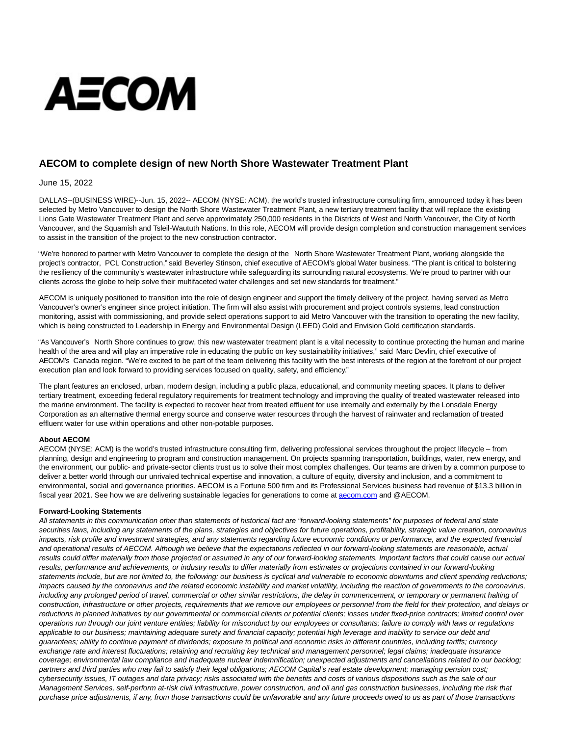# **AECOM**

# **AECOM to complete design of new North Shore Wastewater Treatment Plant**

## June 15, 2022

DALLAS--(BUSINESS WIRE)--Jun. 15, 2022-- AECOM (NYSE: ACM), the world's trusted infrastructure consulting firm, announced today it has been selected by Metro Vancouver to design the North Shore Wastewater Treatment Plant, a new tertiary treatment facility that will replace the existing Lions Gate Wastewater Treatment Plant and serve approximately 250,000 residents in the Districts of West and North Vancouver, the City of North Vancouver, and the Squamish and Tsleil-Waututh Nations. In this role, AECOM will provide design completion and construction management services to assist in the transition of the project to the new construction contractor.

"We're honored to partner with Metro Vancouver to complete the design of the North Shore Wastewater Treatment Plant, working alongside the project's contractor, PCL Construction," said Beverley Stinson, chief executive of AECOM's global Water business. "The plant is critical to bolstering the resiliency of the community's wastewater infrastructure while safeguarding its surrounding natural ecosystems. We're proud to partner with our clients across the globe to help solve their multifaceted water challenges and set new standards for treatment."

AECOM is uniquely positioned to transition into the role of design engineer and support the timely delivery of the project, having served as Metro Vancouver's owner's engineer since project initiation. The firm will also assist with procurement and project controls systems, lead construction monitoring, assist with commissioning, and provide select operations support to aid Metro Vancouver with the transition to operating the new facility, which is being constructed to Leadership in Energy and Environmental Design (LEED) Gold and Envision Gold certification standards.

"As Vancouver's North Shore continues to grow, this new wastewater treatment plant is a vital necessity to continue protecting the human and marine health of the area and will play an imperative role in educating the public on key sustainability initiatives," said Marc Devlin, chief executive of AECOM's Canada region. "We're excited to be part of the team delivering this facility with the best interests of the region at the forefront of our project execution plan and look forward to providing services focused on quality, safety, and efficiency."

The plant features an enclosed, urban, modern design, including a public plaza, educational, and community meeting spaces. It plans to deliver tertiary treatment, exceeding federal regulatory requirements for treatment technology and improving the quality of treated wastewater released into the marine environment. The facility is expected to recover heat from treated effluent for use internally and externally by the Lonsdale Energy Corporation as an alternative thermal energy source and conserve water resources through the harvest of rainwater and reclamation of treated effluent water for use within operations and other non-potable purposes.

# **About AECOM**

AECOM (NYSE: ACM) is the world's trusted infrastructure consulting firm, delivering professional services throughout the project lifecycle – from planning, design and engineering to program and construction management. On projects spanning transportation, buildings, water, new energy, and the environment, our public- and private-sector clients trust us to solve their most complex challenges. Our teams are driven by a common purpose to deliver a better world through our unrivaled technical expertise and innovation, a culture of equity, diversity and inclusion, and a commitment to environmental, social and governance priorities. AECOM is a Fortune 500 firm and its Professional Services business had revenue of \$13.3 billion in fiscal year 2021. See how we are delivering sustainable legacies for generations to come at [aecom.com a](http://aecom.com/)nd @AECOM.

## **Forward-Looking Statements**

All statements in this communication other than statements of historical fact are "forward-looking statements" for purposes of federal and state securities laws, including any statements of the plans, strategies and objectives for future operations, profitability, strategic value creation, coronavirus impacts, risk profile and investment strategies, and any statements regarding future economic conditions or performance, and the expected financial and operational results of AECOM. Although we believe that the expectations reflected in our forward-looking statements are reasonable, actual results could differ materially from those projected or assumed in any of our forward-looking statements. Important factors that could cause our actual results, performance and achievements, or industry results to differ materially from estimates or projections contained in our forward-looking statements include, but are not limited to, the following: our business is cyclical and vulnerable to economic downturns and client spending reductions; impacts caused by the coronavirus and the related economic instability and market volatility, including the reaction of governments to the coronavirus, including any prolonged period of travel, commercial or other similar restrictions, the delay in commencement, or temporary or permanent halting of construction, infrastructure or other projects, requirements that we remove our employees or personnel from the field for their protection, and delays or reductions in planned initiatives by our governmental or commercial clients or potential clients; losses under fixed-price contracts; limited control over operations run through our joint venture entities; liability for misconduct by our employees or consultants; failure to comply with laws or regulations applicable to our business; maintaining adequate surety and financial capacity; potential high leverage and inability to service our debt and guarantees; ability to continue payment of dividends; exposure to political and economic risks in different countries, including tariffs; currency exchange rate and interest fluctuations; retaining and recruiting key technical and management personnel; legal claims; inadequate insurance coverage; environmental law compliance and inadequate nuclear indemnification; unexpected adjustments and cancellations related to our backlog; partners and third parties who may fail to satisfy their legal obligations; AECOM Capital's real estate development; managing pension cost; cybersecurity issues, IT outages and data privacy; risks associated with the benefits and costs of various dispositions such as the sale of our Management Services, self-perform at-risk civil infrastructure, power construction, and oil and gas construction businesses, including the risk that purchase price adjustments, if any, from those transactions could be unfavorable and any future proceeds owed to us as part of those transactions